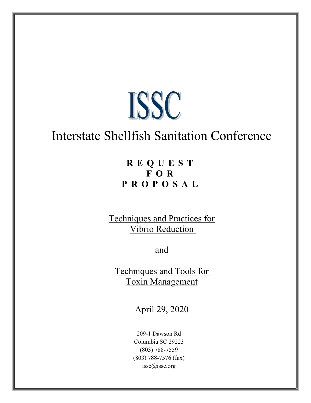

# Interstate Shellfish Sanitation Conference

## **R E Q U E S T F O R P R O P O S A L**

Techniques and Practices for Vibrio Reduction

and

Techniques and Tools for Toxin Management

April 29, 2020

209-1 Dawson Rd Columbia SC 29223 (803) 788-7559 (803) 788-7576 (fax) issc@issc.org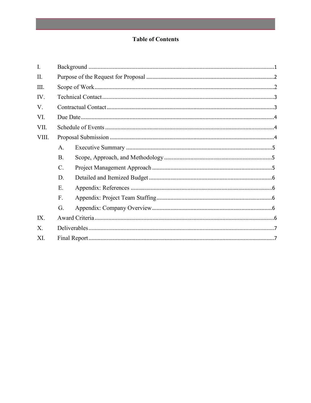## **Table of Contents**

| A.              |  |
|-----------------|--|
| B.              |  |
| $\mathcal{C}$ . |  |
| D.              |  |
| E.              |  |
| F.              |  |
| G.              |  |
|                 |  |
|                 |  |
|                 |  |
|                 |  |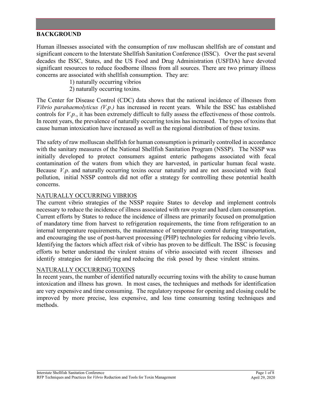## **BACKGROUND**

Human illnesses associated with the consumption of raw molluscan shellfish are of constant and significant concern to the Interstate Shellfish Sanitation Conference (ISSC). Over the past several decades the ISSC, States, and the US Food and Drug Administration (USFDA) have devoted significant resources to reduce foodborne illness from all sources. There are two primary illness concerns are associated with shellfish consumption. They are:

- 1) naturally occurring vibrios
- 2) naturally occurring toxins.

The Center for Disease Control (CDC) data shows that the national incidence of illnesses from *Vibrio parahaemolyticus (V.p.)* has increased in recent years. While the ISSC has established controls for *V.p.*, it has been extremely difficult to fully assess the effectiveness of those controls. In recent years, the prevalence of naturally occurring toxins has increased. The types of toxins that cause human intoxication have increased as well as the regional distribution of these toxins.

The safety of raw molluscan shellfish for human consumption is primarily controlled in accordance with the sanitary measures of the National Shellfish Sanitation Program (NSSP). The NSSP was initially developed to protect consumers against enteric pathogens associated with fecal contamination of the waters from which they are harvested, in particular human fecal waste. Because *V.p*. and naturally occurring toxins occur naturally and are not associated with fecal pollution, initial NSSP controls did not offer a strategy for controlling these potential health concerns.

#### NATURALLY OCCURRING VIBRIOS

The current vibrio strategies of the NSSP require States to develop and implement controls necessary to reduce the incidence of illness associated with raw oyster and hard clam consumption. Current efforts by States to reduce the incidence of illness are primarily focused on promulgation of mandatory time from harvest to refrigeration requirements, the time from refrigeration to an internal temperature requirements, the maintenance of temperature control during transportation, and encouraging the use of post-harvest processing (PHP) technologies for reducing vibrio levels. Identifying the factors which affect risk of vibrio has proven to be difficult. The ISSC is focusing efforts to better understand the virulent strains of vibrio associated with recent illnesses and identify strategies for identifying and reducing the risk posed by these virulent strains.

#### NATURALLY OCCURRING TOXINS

In recent years, the number of identified naturally occurring toxins with the ability to cause human intoxication and illness has grown. In most cases, the techniques and methods for identification are very expensive and time consuming. The regulatory response for opening and closing could be improved by more precise, less expensive, and less time consuming testing techniques and methods.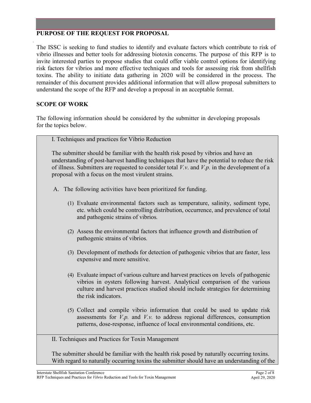## **PURPOSE OF THE REQUEST FOR PROPOSAL**

The ISSC is seeking to fund studies to identify and evaluate factors which contribute to risk of vibrio illnesses and better tools for addressing biotoxin concerns. The purpose of this RFP is to invite interested parties to propose studies that could offer viable control options for identifying risk factors for vibrios and more effective techniques and tools for assessing risk from shellfish toxins. The ability to initiate data gathering in 2020 will be considered in the process. The remainder of this document provides additional information that will allow proposal submitters to understand the scope of the RFP and develop a proposal in an acceptable format.

#### **SCOPE OF WORK**

.

The following information should be considered by the submitter in developing proposals for the topics below.

| I. Techniques and practices for Vibrio Reduction                                                                                                                                                                                                                                                                                              |
|-----------------------------------------------------------------------------------------------------------------------------------------------------------------------------------------------------------------------------------------------------------------------------------------------------------------------------------------------|
| The submitter should be familiar with the health risk posed by vibrios and have an<br>understanding of post-harvest handling techniques that have the potential to reduce the risk<br>of illness. Submitters are requested to consider total $V.v.$ and $V.p.$ in the development of a<br>proposal with a focus on the most virulent strains. |
| A. The following activities have been prioritized for funding.                                                                                                                                                                                                                                                                                |
| (1) Evaluate environmental factors such as temperature, salinity, sediment type,<br>etc. which could be controlling distribution, occurrence, and prevalence of total<br>and pathogenic strains of vibrios.                                                                                                                                   |
| (2) Assess the environmental factors that influence growth and distribution of<br>pathogenic strains of vibrios.                                                                                                                                                                                                                              |
| (3) Development of methods for detection of pathogenic vibrios that are faster, less<br>expensive and more sensitive.                                                                                                                                                                                                                         |
| (4) Evaluate impact of various culture and harvest practices on levels of pathogenic<br>vibrios in oysters following harvest. Analytical comparison of the various<br>culture and harvest practices studied should include strategies for determining<br>the risk indicators.                                                                 |
| (5) Collect and compile vibrio information that could be used to update risk<br>assessments for $V.p.$ and $V.v.$ to address regional differences, consumption<br>patterns, dose-response, influence of local environmental conditions, etc.                                                                                                  |
| II. Techniques and Practices for Toxin Management                                                                                                                                                                                                                                                                                             |
| The submitter should be familiar with the health risk posed by naturally occurring toxins.<br>With regard to naturally occurring toxins the submitter should have an understanding of the                                                                                                                                                     |
|                                                                                                                                                                                                                                                                                                                                               |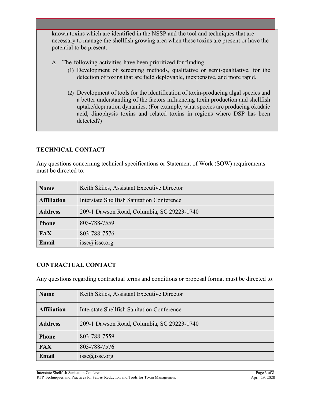known toxins which are identified in the NSSP and the tool and techniques that are necessary to manage the shellfish growing area when these toxins are present or have the potential to be present.

- A. The following activities have been prioritized for funding.
	- (1) Development of screening methods, qualitative or semi-qualitative, for the detection of toxins that are field deployable, inexpensive, and more rapid.
	- (2) Development of tools for the identification of toxin-producing algal species and a better understanding of the factors influencing toxin production and shellfish uptake/depuration dynamics. (For example, what species are producing okadaic acid, dinophysis toxins and related toxins in regions where DSP has been detected?)

## **TECHNICAL CONTACT**

Any questions concerning technical specifications or Statement of Work (SOW) requirements must be directed to:

| <b>Name</b>        | Keith Skiles, Assistant Executive Director |
|--------------------|--------------------------------------------|
| <b>Affiliation</b> | Interstate Shellfish Sanitation Conference |
| <b>Address</b>     | 209-1 Dawson Road, Columbia, SC 29223-1740 |
| <b>Phone</b>       | 803-788-7559                               |
| <b>FAX</b>         | 803-788-7576                               |
| Email              | $i\text{ssc}(\widehat{a})$ issc.org        |

## **CONTRACTUAL CONTACT**

Any questions regarding contractual terms and conditions or proposal format must be directed to:

| <b>Name</b>        | Keith Skiles, Assistant Executive Director |
|--------------------|--------------------------------------------|
| <b>Affiliation</b> | Interstate Shellfish Sanitation Conference |
| <b>Address</b>     | 209-1 Dawson Road, Columbia, SC 29223-1740 |
| <b>Phone</b>       | 803-788-7559                               |
| <b>FAX</b>         | 803-788-7576                               |
| Email              | $\text{isse@}$ isse.org                    |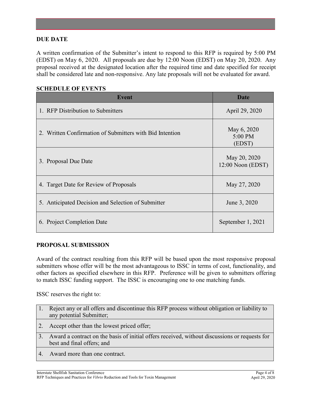## **DUE DATE**

A written confirmation of the Submitter's intent to respond to this RFP is required by 5:00 PM (EDST) on May 6, 2020. All proposals are due by 12:00 Noon (EDST) on May 20, 2020. Any proposal received at the designated location after the required time and date specified for receipt shall be considered late and non-responsive. Any late proposals will not be evaluated for award.

| Event                                                    | <b>Date</b>                         |
|----------------------------------------------------------|-------------------------------------|
| 1. RFP Distribution to Submitters                        | April 29, 2020                      |
| 2. Written Confirmation of Submitters with Bid Intention | May 6, 2020<br>5:00 PM<br>(EDST)    |
| 3. Proposal Due Date                                     | May 20, 2020<br>$12:00$ Noon (EDST) |
| 4. Target Date for Review of Proposals                   | May 27, 2020                        |
| 5. Anticipated Decision and Selection of Submitter       | June 3, 2020                        |
| 6. Project Completion Date                               | September 1, 2021                   |

### **SCHEDULE OF EVENTS**

## **PROPOSAL SUBMISSION**

Award of the contract resulting from this RFP will be based upon the most responsive proposal submitters whose offer will be the most advantageous to ISSC in terms of cost, functionality, and other factors as specified elsewhere in this RFP. Preference will be given to submitters offering to match ISSC funding support. The ISSC is encouraging one to one matching funds.

ISSC reserves the right to:

| 1. Reject any or all offers and discontinue this RFP process without obligation or liability to |
|-------------------------------------------------------------------------------------------------|
| any potential Submitter;                                                                        |

- 2. Accept other than the lowest priced offer;
- 3. Award a contract on the basis of initial offers received, without discussions or requests for best and final offers; and
- 4. Award more than one contract.

Interstate Shellfish Sanitation Conference RFP Techniques and Practices for *Vibrio* Reduction and Tools for Toxin Management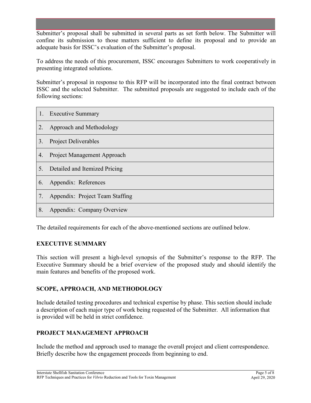Submitter's proposal shall be submitted in several parts as set forth below. The Submitter will confine its submission to those matters sufficient to define its proposal and to provide an adequate basis for ISSC's evaluation of the Submitter's proposal.

To address the needs of this procurement, ISSC encourages Submitters to work cooperatively in presenting integrated solutions.

Submitter's proposal in response to this RFP will be incorporated into the final contract between ISSC and the selected Submitter. The submitted proposals are suggested to include each of the following sections:

| 1. | <b>Executive Summary</b>        |
|----|---------------------------------|
| 2. | Approach and Methodology        |
| 3. | <b>Project Deliverables</b>     |
| 4. | Project Management Approach     |
| 5. | Detailed and Itemized Pricing   |
| 6. | Appendix: References            |
| 7. | Appendix: Project Team Staffing |
| 8. | Appendix: Company Overview      |

The detailed requirements for each of the above-mentioned sections are outlined below.

## **EXECUTIVE SUMMARY**

This section will present a high-level synopsis of the Submitter's response to the RFP. The Executive Summary should be a brief overview of the proposed study and should identify the main features and benefits of the proposed work.

## **SCOPE, APPROACH, AND METHODOLOGY**

Include detailed testing procedures and technical expertise by phase. This section should include a description of each major type of work being requested of the Submitter. All information that is provided will be held in strict confidence.

## **PROJECT MANAGEMENT APPROACH**

Include the method and approach used to manage the overall project and client correspondence. Briefly describe how the engagement proceeds from beginning to end.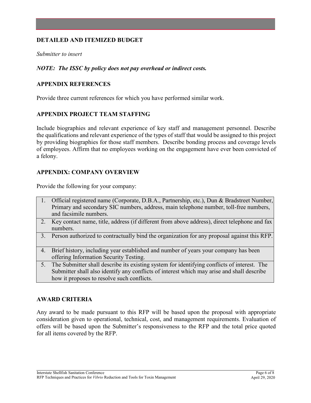## **DETAILED AND ITEMIZED BUDGET**

*Submitter to insert*

### *NOTE: The ISSC by policy does not pay overhead or indirect costs.*

## **APPENDIX REFERENCES**

Provide three current references for which you have performed similar work.

## **APPENDIX PROJECT TEAM STAFFING**

Include biographies and relevant experience of key staff and management personnel. Describe the qualifications and relevant experience of the types of staff that would be assigned to this project by providing biographies for those staff members. Describe bonding process and coverage levels of employees. Affirm that no employees working on the engagement have ever been convicted of a felony.

#### **APPENDIX: COMPANY OVERVIEW**

Provide the following for your company:

| 1. Official registered name (Corporate, D.B.A., Partnership, etc.), Dun & Bradstreet Number, |
|----------------------------------------------------------------------------------------------|
| Primary and secondary SIC numbers, address, main telephone number, toll-free numbers,        |
| and facsimile numbers.                                                                       |

- 2. Key contact name, title, address (if different from above address), direct telephone and fax numbers.
- 3. Person authorized to contractually bind the organization for any proposal against this RFP.
- 4. Brief history, including year established and number of years your company has been offering Information Security Testing.
- 5. The Submitter shall describe its existing system for identifying conflicts of interest. The Submitter shall also identify any conflicts of interest which may arise and shall describe how it proposes to resolve such conflicts.

## **AWARD CRITERIA**

Any award to be made pursuant to this RFP will be based upon the proposal with appropriate consideration given to operational, technical, cost, and management requirements. Evaluation of offers will be based upon the Submitter's responsiveness to the RFP and the total price quoted for all items covered by the RFP.